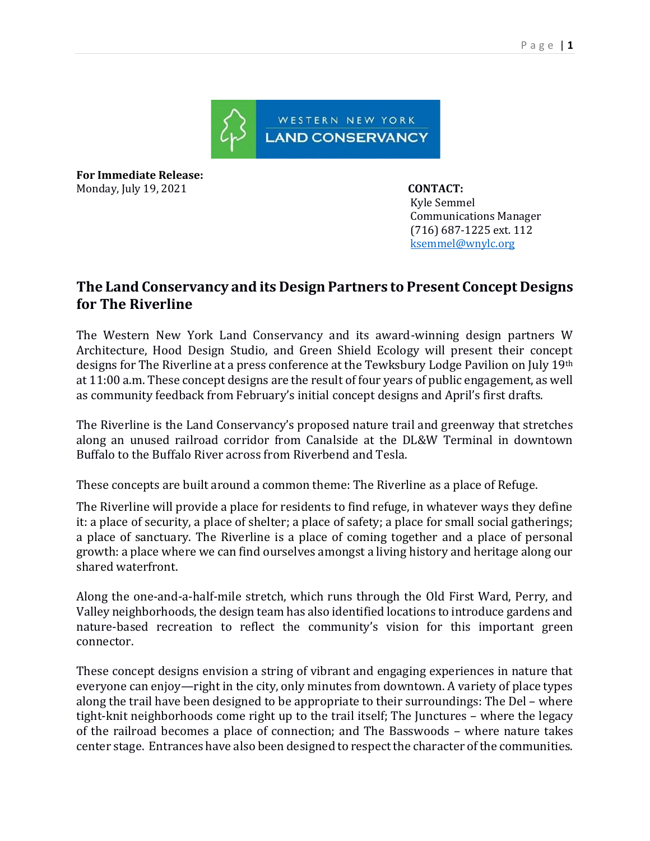

**For Immediate Release:**  Monday, July 19, 2021 **CONTACT:** 

 Kyle Semmel Communications Manager (716) 687-1225 ext. 112 [ksemmel@wnylc.org](mailto:ksemmel@wnylc.org) 

## **The Land Conservancy and its Design Partners to Present Concept Designs for The Riverline**

The Western New York Land Conservancy and its award-winning design partners W Architecture, Hood Design Studio, and Green Shield Ecology will present their concept designs for The Riverline at a press conference at the Tewksbury Lodge Pavilion on July 19th at 11:00 a.m. These concept designs are the result of four years of public engagement, as well as community feedback from February's initial concept designs and April's first drafts.

The Riverline is the Land Conservancy's proposed nature trail and greenway that stretches along an unused railroad corridor from Canalside at the DL&W Terminal in downtown Buffalo to the Buffalo River across from Riverbend and Tesla.

These concepts are built around a common theme: The Riverline as a place of Refuge.

The Riverline will provide a place for residents to find refuge, in whatever ways they define it: a place of security, a place of shelter; a place of safety; a place for small social gatherings; a place of sanctuary. The Riverline is a place of coming together and a place of personal growth: a place where we can find ourselves amongst a living history and heritage along our shared waterfront.

Along the one-and-a-half-mile stretch, which runs through the Old First Ward, Perry, and Valley neighborhoods, the design team has also identified locations to introduce gardens and nature-based recreation to reflect the community's vision for this important green connector.

These concept designs envision a string of vibrant and engaging experiences in nature that everyone can enjoy—right in the city, only minutes from downtown. A variety of place types along the trail have been designed to be appropriate to their surroundings: The Del – where tight-knit neighborhoods come right up to the trail itself; The Junctures – where the legacy of the railroad becomes a place of connection; and The Basswoods – where nature takes center stage. Entrances have also been designed to respect the character of the communities.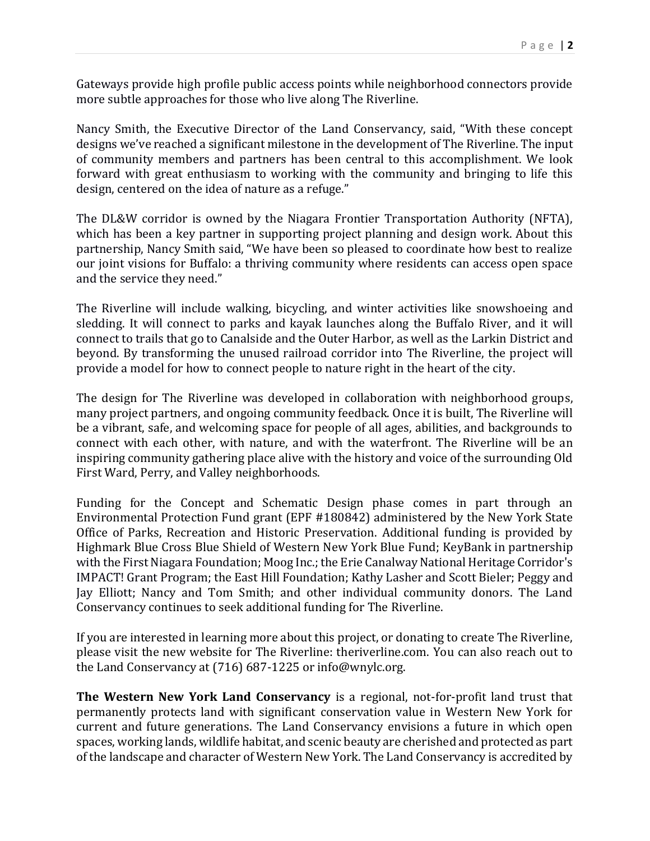Gateways provide high profile public access points while neighborhood connectors provide more subtle approaches for those who live along The Riverline.

Nancy Smith, the Executive Director of the Land Conservancy, said, "With these concept designs we've reached a significant milestone in the development of The Riverline. The input of community members and partners has been central to this accomplishment. We look forward with great enthusiasm to working with the community and bringing to life this design, centered on the idea of nature as a refuge."

The DL&W corridor is owned by the Niagara Frontier Transportation Authority (NFTA), which has been a key partner in supporting project planning and design work. About this partnership, Nancy Smith said, "We have been so pleased to coordinate how best to realize our joint visions for Buffalo: a thriving community where residents can access open space and the service they need."

The Riverline will include walking, bicycling, and winter activities like snowshoeing and sledding. It will connect to parks and kayak launches along the Buffalo River, and it will connect to trails that go to Canalside and the Outer Harbor, as well as the Larkin District and beyond. By transforming the unused railroad corridor into The Riverline, the project will provide a model for how to connect people to nature right in the heart of the city.

The design for The Riverline was developed in collaboration with neighborhood groups, many project partners, and ongoing community feedback. Once it is built, The Riverline will be a vibrant, safe, and welcoming space for people of all ages, abilities, and backgrounds to connect with each other, with nature, and with the waterfront. The Riverline will be an inspiring community gathering place alive with the history and voice of the surrounding Old First Ward, Perry, and Valley neighborhoods.

Funding for the Concept and Schematic Design phase comes in part through an Environmental Protection Fund grant (EPF #180842) administered by the New York State Office of Parks, Recreation and Historic Preservation. Additional funding is provided by Highmark Blue Cross Blue Shield of Western New York Blue Fund; KeyBank in partnership with the First Niagara Foundation; Moog Inc.; the Erie Canalway National Heritage Corridor's IMPACT! Grant Program; the East Hill Foundation; Kathy Lasher and Scott Bieler; Peggy and Jay Elliott; Nancy and Tom Smith; and other individual community donors. The Land Conservancy continues to seek additional funding for The Riverline.

If you are interested in learning more about this project, or donating to create The Riverline, please visit the new website for The Riverline: theriverline.com. You can also reach out to the Land Conservancy at (716) 687-1225 or info@wnylc.org.

**The Western New York Land Conservancy** is a regional, not-for-profit land trust that permanently protects land with significant conservation value in Western New York for current and future generations. The Land Conservancy envisions a future in which open spaces, working lands, wildlife habitat, and scenic beauty are cherished and protected as part of the landscape and character of Western New York. The Land Conservancy is accredited by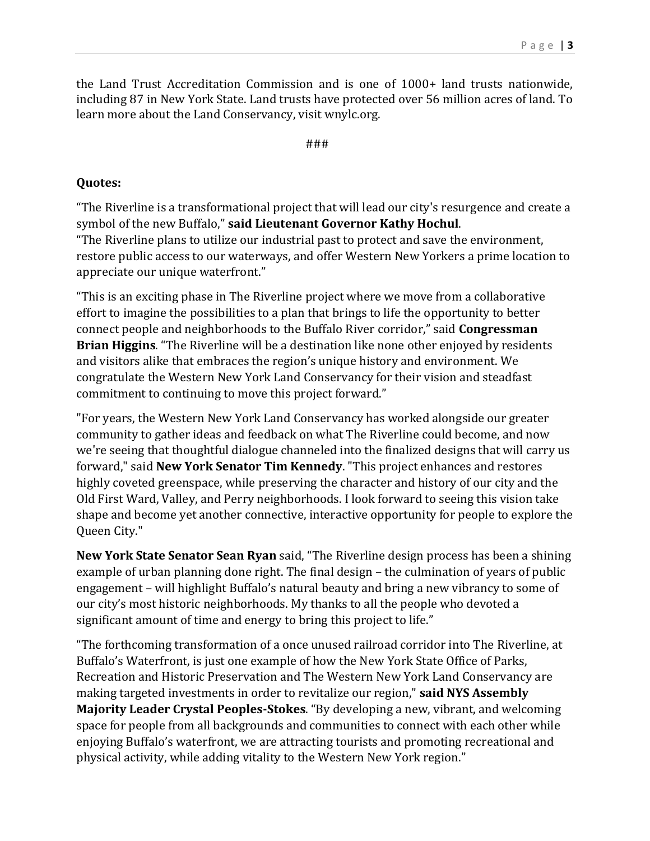the Land Trust Accreditation Commission and is one of 1000+ land trusts nationwide, including 87 in New York State. Land trusts have protected over 56 million acres of land. To learn more about the Land Conservancy, visit wnylc.org.

###

## **Quotes:**

"The Riverline is a transformational project that will lead our city's resurgence and create a symbol of the new Buffalo," **said Lieutenant Governor Kathy Hochul**. "The Riverline plans to utilize our industrial past to protect and save the environment, restore public access to our waterways, and offer Western New Yorkers a prime location to

appreciate our unique waterfront." "This is an exciting phase in The Riverline project where we move from a collaborative effort to imagine the possibilities to a plan that brings to life the opportunity to better connect people and neighborhoods to the Buffalo River corridor," said **Congressman Brian Higgins**. "The Riverline will be a destination like none other enjoyed by residents and visitors alike that embraces the region's unique history and environment. We congratulate the Western New York Land Conservancy for their vision and steadfast

commitment to continuing to move this project forward."

"For years, the Western New York Land Conservancy has worked alongside our greater community to gather ideas and feedback on what The Riverline could become, and now we're seeing that thoughtful dialogue channeled into the finalized designs that will carry us forward," said **New York Senator Tim Kennedy**. "This project enhances and restores highly coveted greenspace, while preserving the character and history of our city and the Old First Ward, Valley, and Perry neighborhoods. I look forward to seeing this vision take shape and become yet another connective, interactive opportunity for people to explore the Queen City."

**New York State Senator Sean Ryan** said, "The Riverline design process has been a shining example of urban planning done right. The final design – the culmination of years of public engagement – will highlight Buffalo's natural beauty and bring a new vibrancy to some of our city's most historic neighborhoods. My thanks to all the people who devoted a significant amount of time and energy to bring this project to life."

"The forthcoming transformation of a once unused railroad corridor into The Riverline, at Buffalo's Waterfront, is just one example of how the New York State Office of Parks, Recreation and Historic Preservation and The Western New York Land Conservancy are making targeted investments in order to revitalize our region," **said NYS Assembly Majority Leader Crystal Peoples-Stokes**. "By developing a new, vibrant, and welcoming space for people from all backgrounds and communities to connect with each other while enjoying Buffalo's waterfront, we are attracting tourists and promoting recreational and physical activity, while adding vitality to the Western New York region."